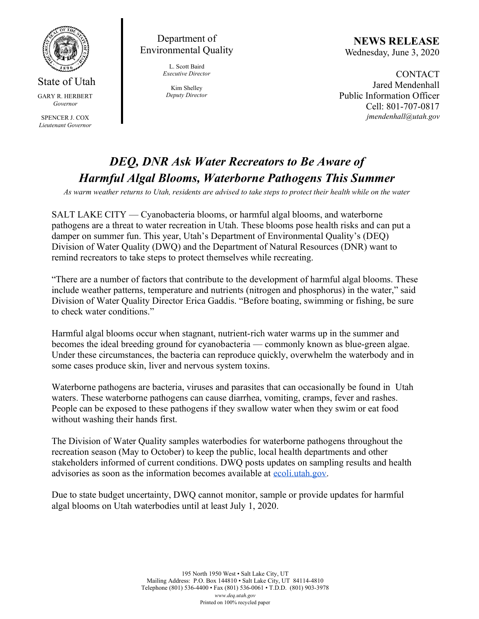

## State of Utah GARY R. HERBERT *Governor*

SPENCER J. COX *Lieutenant Governor*

Department of Environmental Quality

> L. Scott Baird *Executive Director*

Kim Shelley *Deputy Director*

**NEWS RELEASE** Wednesday, June 3, 2020

**CONTACT** Jared Mendenhall Public Information Officer Cell: 801-707-0817 *jmendenhall@utah.gov*

## *DEQ, DNR Ask Water Recreators to Be Aware of Harmful Algal Blooms, Waterborne Pathogens This Summer*

*As warm weather returns to Utah, residents are advised to take steps to protect their health while on the water*

SALT LAKE CITY — Cyanobacteria blooms, or harmful algal blooms, and waterborne pathogens are a threat to water recreation in Utah. These blooms pose health risks and can put a damper on summer fun. This year, Utah's Department of Environmental Quality's (DEQ) Division of Water Quality (DWQ) and the Department of Natural Resources (DNR) want to remind recreators to take steps to protect themselves while recreating.

"There are a number of factors that contribute to the development of harmful algal blooms. These include weather patterns, temperature and nutrients (nitrogen and phosphorus) in the water," said Division of Water Quality Director Erica Gaddis. "Before boating, swimming or fishing, be sure to check water conditions."

Harmful algal blooms occur when stagnant, nutrient-rich water warms up in the summer and becomes the ideal breeding ground for cyanobacteria — commonly known as blue-green algae. Under these circumstances, the bacteria can reproduce quickly, overwhelm the waterbody and in some cases produce skin, liver and nervous system toxins.

Waterborne pathogens are bacteria, viruses and parasites that can occasionally be found in Utah waters. These waterborne pathogens can cause diarrhea, vomiting, cramps, fever and rashes. People can be exposed to these pathogens if they swallow water when they swim or eat food without washing their hands first.

The Division of Water Quality samples waterbodies for waterborne pathogens throughout the recreation season (May to October) to keep the public, local health departments and other stakeholders informed of current conditions. DWQ posts updates on sampling results and health advisories as soon as the information becomes available at [ecoli.utah.gov.](http://ecoli.utah.gov/)

Due to state budget uncertainty, DWQ cannot monitor, sample or provide updates for harmful algal blooms on Utah waterbodies until at least July 1, 2020.